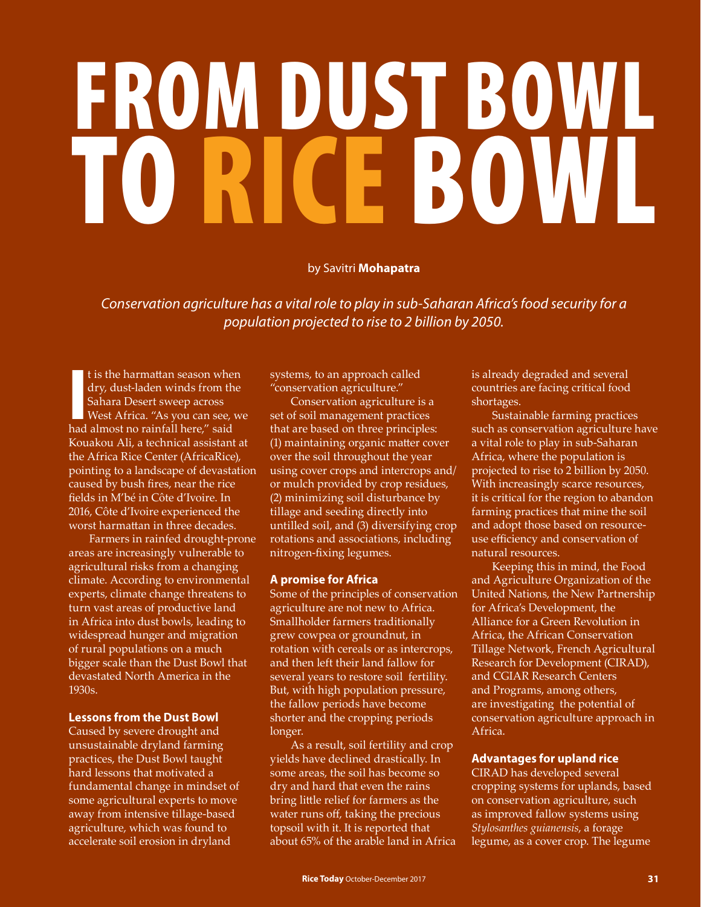# FROM DUST BOWL TRICE BOWL

### by Savitri **Mohapatra**

*Conservation agriculture has a vital role to play in sub-Saharan Africa's food security for a population projected to rise to 2 billion by 2050.* 

t is the harmattan season where<br>dry, dust-laden winds from th<br>Sahara Desert sweep across<br>West Africa. "As you can see, what almost no rainfall here," said t is the harmattan season when dry, dust-laden winds from the Sahara Desert sweep across West Africa. "As you can see, we Kouakou Ali, a technical assistant at the Africa Rice Center (AfricaRice), pointing to a landscape of devastation caused by bush fires, near the rice fields in M'bé in Côte d'Ivoire. In 2016, Côte d'Ivoire experienced the worst harmattan in three decades.

Farmers in rainfed drought-prone areas are increasingly vulnerable to agricultural risks from a changing climate. According to environmental experts, climate change threatens to turn vast areas of productive land in Africa into dust bowls, leading to widespread hunger and migration of rural populations on a much bigger scale than the Dust Bowl that devastated North America in the 1930s.

# **Lessons from the Dust Bowl**

Caused by severe drought and unsustainable dryland farming practices, the Dust Bowl taught hard lessons that motivated a fundamental change in mindset of some agricultural experts to move away from intensive tillage-based agriculture, which was found to accelerate soil erosion in dryland

systems, to an approach called "conservation agriculture."

Conservation agriculture is a set of soil management practices that are based on three principles: (1) maintaining organic matter cover over the soil throughout the year using cover crops and intercrops and/ or mulch provided by crop residues, (2) minimizing soil disturbance by tillage and seeding directly into untilled soil, and (3) diversifying crop rotations and associations, including nitrogen-fixing legumes.

# **A promise for Africa**

Some of the principles of conservation agriculture are not new to Africa. Smallholder farmers traditionally grew cowpea or groundnut, in rotation with cereals or as intercrops, and then left their land fallow for several years to restore soil fertility. But, with high population pressure, the fallow periods have become shorter and the cropping periods longer.

As a result, soil fertility and crop yields have declined drastically. In some areas, the soil has become so dry and hard that even the rains bring little relief for farmers as the water runs off, taking the precious topsoil with it. It is reported that about 65% of the arable land in Africa is already degraded and several countries are facing critical food shortages.

Sustainable farming practices such as conservation agriculture have a vital role to play in sub-Saharan Africa, where the population is projected to rise to 2 billion by 2050. With increasingly scarce resources, it is critical for the region to abandon farming practices that mine the soil and adopt those based on resourceuse efficiency and conservation of natural resources.

Keeping this in mind, the Food and Agriculture Organization of the United Nations, the New Partnership for Africa's Development, the Alliance for a Green Revolution in Africa, the African Conservation Tillage Network, French Agricultural Research for Development (CIRAD), and CGIAR Research Centers and Programs, among others, are investigating the potential of conservation agriculture approach in Africa.

# **Advantages for upland rice**

CIRAD has developed several cropping systems for uplands, based on conservation agriculture, such as improved fallow systems using *Stylosanthes guianensis*, a forage legume, as a cover crop. The legume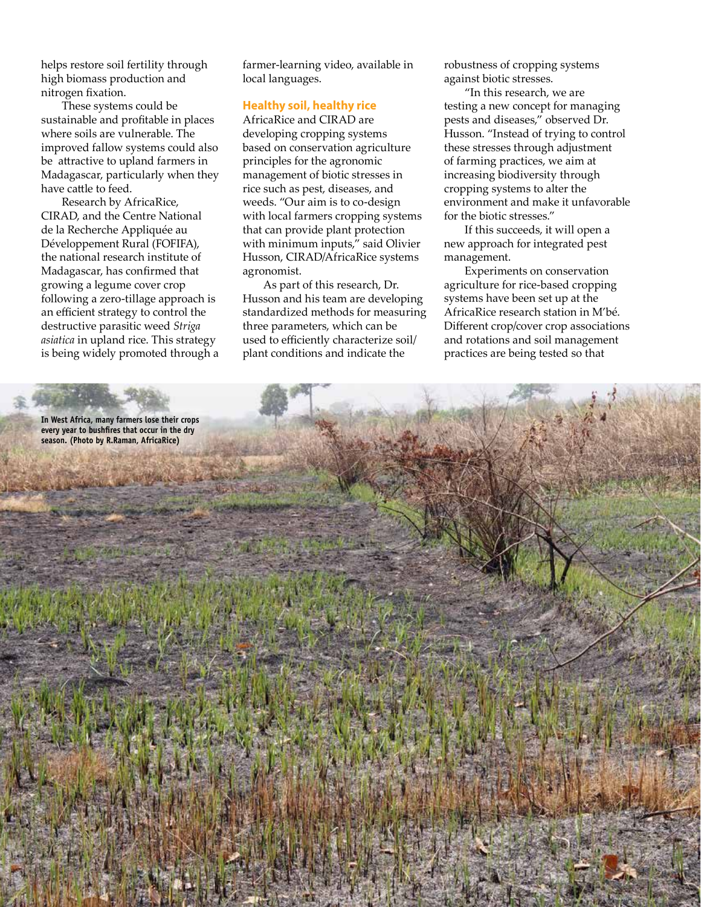helps restore soil fertility through high biomass production and nitrogen fixation.

These systems could be sustainable and profitable in places where soils are vulnerable. The improved fallow systems could also be attractive to upland farmers in Madagascar, particularly when they have cattle to feed.

Research by AfricaRice, CIRAD, and the Centre National de la Recherche Appliquée au Développement Rural (FOFIFA), the national research institute of Madagascar, has confirmed that growing a legume cover crop following a zero-tillage approach is an efficient strategy to control the destructive parasitic weed *Striga asiatica* in upland rice. This strategy is being widely promoted through a

farmer-learning video, available in local languages.

#### **Healthy soil, healthy rice**

AfricaRice and CIRAD are developing cropping systems based on conservation agriculture principles for the agronomic management of biotic stresses in rice such as pest, diseases, and weeds. "Our aim is to co-design with local farmers cropping systems that can provide plant protection with minimum inputs," said Olivier Husson, CIRAD/AfricaRice systems agronomist.

As part of this research, Dr. Husson and his team are developing standardized methods for measuring three parameters, which can be used to efficiently characterize soil/ plant conditions and indicate the

robustness of cropping systems against biotic stresses.

"In this research, we are testing a new concept for managing pests and diseases," observed Dr. Husson. "Instead of trying to control these stresses through adjustment of farming practices, we aim at increasing biodiversity through cropping systems to alter the environment and make it unfavorable for the biotic stresses."

If this succeeds, it will open a new approach for integrated pest management.

Experiments on conservation agriculture for rice-based cropping systems have been set up at the AfricaRice research station in M'bé. Different crop/cover crop associations and rotations and soil management practices are being tested so that